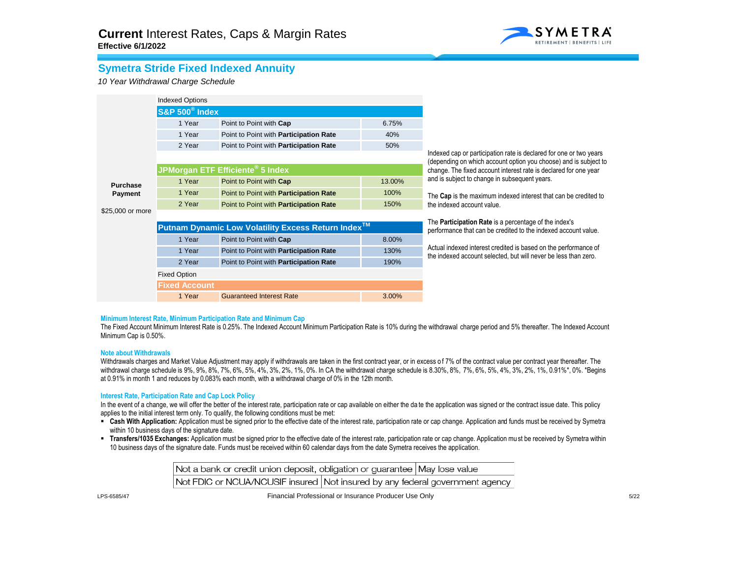

## **Symetra Stride Fixed Indexed Annuity**

*10 Year Withdrawal Charge Schedule*

|                  | <b>Indexed Options</b>               |                                                                |                                                                                                                                |                                                                                                                                        |  |  |  |
|------------------|--------------------------------------|----------------------------------------------------------------|--------------------------------------------------------------------------------------------------------------------------------|----------------------------------------------------------------------------------------------------------------------------------------|--|--|--|
|                  | <b>S&amp;P 500<sup>®</sup> Index</b> |                                                                |                                                                                                                                |                                                                                                                                        |  |  |  |
|                  | 1 Year                               | Point to Point with Cap                                        | 6.75%                                                                                                                          |                                                                                                                                        |  |  |  |
|                  | 1 Year                               | Point to Point with Participation Rate                         | 40%                                                                                                                            |                                                                                                                                        |  |  |  |
|                  | 2 Year                               | Point to Point with Participation Rate                         | 50%                                                                                                                            |                                                                                                                                        |  |  |  |
|                  |                                      |                                                                |                                                                                                                                | Indexed cap or participation rate is declared for one or two years<br>(depending on which account option you choose) and is subject to |  |  |  |
|                  |                                      | JPMorgan ETF Efficiente <sup>®</sup> 5 Index                   | change. The fixed account interest rate is declared for one year                                                               |                                                                                                                                        |  |  |  |
| <b>Purchase</b>  | 1 Year                               | Point to Point with Cap                                        | 13.00%                                                                                                                         | and is subject to change in subsequent years.                                                                                          |  |  |  |
| <b>Payment</b>   | 1 Year                               | Point to Point with Participation Rate                         | 100%                                                                                                                           | The Cap is the maximum indexed interest that can be credited to                                                                        |  |  |  |
|                  | 2 Year                               | Point to Point with Participation Rate                         | 150%                                                                                                                           | the indexed account value.                                                                                                             |  |  |  |
| \$25,000 or more |                                      |                                                                | The <b>Participation Rate</b> is a percentage of the index's<br>performance that can be credited to the indexed account value. |                                                                                                                                        |  |  |  |
|                  |                                      | Putnam Dynamic Low Volatility Excess Return Index <sup>™</sup> |                                                                                                                                |                                                                                                                                        |  |  |  |
|                  | 1 Year                               | Point to Point with Cap                                        | 8.00%                                                                                                                          |                                                                                                                                        |  |  |  |
|                  | 1 Year                               | Point to Point with <b>Participation Rate</b>                  | 130%                                                                                                                           | Actual indexed interest credited is based on the performance of<br>the indexed account selected, but will never be less than zero.     |  |  |  |
|                  | 2 Year                               | Point to Point with Participation Rate                         | 190%                                                                                                                           |                                                                                                                                        |  |  |  |
|                  | <b>Fixed Option</b>                  |                                                                |                                                                                                                                |                                                                                                                                        |  |  |  |
|                  | <b>Fixed Account</b>                 |                                                                |                                                                                                                                |                                                                                                                                        |  |  |  |
|                  | 1 Year                               | <b>Guaranteed Interest Rate</b>                                | 3.00%                                                                                                                          |                                                                                                                                        |  |  |  |

### **Minimum Interest Rate, Minimum Participation Rate and Minimum Cap**

The Fixed Account Minimum Interest Rate is 0.25%. The Indexed Account Minimum Participation Rate is 10% during the withdrawal charge period and 5% thereafter. The Indexed Account Minimum Cap is 0.50%.

#### **Note about Withdrawals**

Withdrawals charges and Market Value Adjustment may apply if withdrawals are taken in the first contract year, or in excess of 7% of the contract value per contract year thereafter. The withdrawal charge schedule is 9%, 9%, 8%, 7%, 6%, 5%, 4%, 3%, 2%, 1%, 0%. In CA the withdrawal charge schedule is 8.30%, 8%, 7%, 6%, 5%, 4%, 3%, 2%, 1%, 0.91%\*, 0%. \*Begins at 0.91% in month 1 and reduces by 0.083% each month, with a withdrawal charge of 0% in the 12th month.

### **Interest Rate, Participation Rate and Cap Lock Policy**

In the event of a change, we will offer the better of the interest rate, participation rate or cap available on either the date the application was signed or the contract issue date. This policy applies to the initial interest term only. To qualify, the following conditions must be met:

- **Examble Application:** Application must be signed prior to the effective date of the interest rate, participation rate or cap change. Application and funds must be received by Symetra within 10 business days of the signature date.
- **Transfers/1035 Exchanges:** Application must be signed prior to the effective date of the interest rate, participation rate or cap change. Application mu st be received by Symetra within 10 business days of the signature date. Funds must be received within 60 calendar days from the date Symetra receives the application.

Not a bank or credit union deposit, obligation or quarantee May lose value Not FDIC or NCUA/NCUSIF insured Not insured by any federal government agency

LPS-6585/47

Financial Professional or Insurance Producer Use Only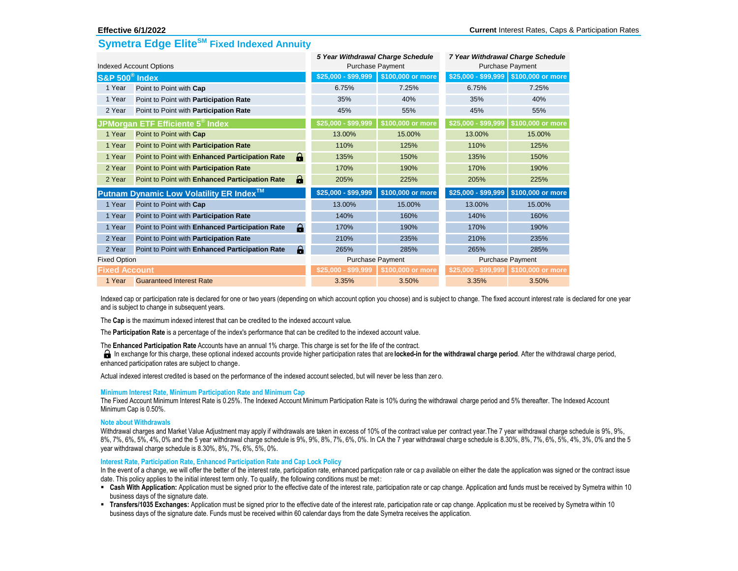## **Symetra Edge EliteSM Fixed Indexed Annuity**

|                                         |                                                 | 5 Year Withdrawal Charge Schedule |                     | 7 Year Withdrawal Charge Schedule |                         |                                       |
|-----------------------------------------|-------------------------------------------------|-----------------------------------|---------------------|-----------------------------------|-------------------------|---------------------------------------|
| <b>Indexed Account Options</b>          |                                                 |                                   | Purchase Payment    |                                   | <b>Purchase Payment</b> |                                       |
| S&P 500 <sup>®</sup> Index              |                                                 |                                   | $$25,000 - $99,999$ | \$100,000 or more                 |                         | \$25,000 - \$99,999 \$100,000 or more |
| 1 Year                                  | Point to Point with Cap                         |                                   | 6.75%               | 7.25%                             | 6.75%                   | 7.25%                                 |
| 1 Year                                  | Point to Point with <b>Participation Rate</b>   |                                   | 35%                 | 40%                               | 35%                     | 40%                                   |
| 2 Year                                  | Point to Point with <b>Participation Rate</b>   |                                   | 45%                 | 55%                               | 45%                     | 55%                                   |
|                                         | JPMorgan ETF Efficiente 5 <sup>®</sup> Index    |                                   | \$25,000 - \$99,999 | \$100,000 or more                 | \$25,000 - \$99,999     | \$100,000 or more                     |
| 1 Year                                  | Point to Point with Cap                         |                                   | 13.00%              | 15.00%                            | 13.00%                  | 15.00%                                |
| 1 Year                                  | Point to Point with Participation Rate          |                                   | 110%                | 125%                              | 110%                    | 125%                                  |
| 1 Year                                  | Point to Point with Enhanced Participation Rate | θ                                 | 135%                | 150%                              | 135%                    | 150%                                  |
| 2 Year                                  | Point to Point with Participation Rate          |                                   | 170%                | 190%                              | 170%                    | 190%                                  |
| 2 Year                                  | Point to Point with Enhanced Participation Rate | θ                                 | 205%                | 225%                              | 205%                    | 225%                                  |
| Putnam Dynamic Low Volatility ER Index™ |                                                 |                                   | $$25,000 - $99,999$ | \$100,000 or more                 | \$25,000 - \$99,999     | \$100,000 or more                     |
| 1 Year                                  | Point to Point with Cap                         |                                   | 13.00%              | 15.00%                            | 13.00%                  | 15.00%                                |
| 1 Year                                  | Point to Point with Participation Rate          |                                   | 140%                | 160%                              | 140%                    | 160%                                  |
| 1 Year                                  | Point to Point with Enhanced Participation Rate | θ                                 | 170%                | 190%                              | 170%                    | 190%                                  |
| 2 Year                                  | Point to Point with Participation Rate          |                                   | 210%                | 235%                              | 210%                    | 235%                                  |
| 2 Year                                  | Point to Point with Enhanced Participation Rate | $\hat{\mathbf{e}}$                | 265%                | 285%                              | 265%                    | 285%                                  |
| <b>Fixed Option</b>                     |                                                 | Purchase Payment                  |                     | <b>Purchase Payment</b>           |                         |                                       |
| <b>Fixed Account</b>                    |                                                 |                                   | $$25,000 - $99,999$ | \$100,000 or more                 |                         | \$25,000 - \$99,999 \$100,000 or more |
| 1 Year                                  | <b>Guaranteed Interest Rate</b>                 |                                   | 3.35%               | 3.50%                             | 3.35%                   | 3.50%                                 |

Indexed cap or participation rate is declared for one or two years (depending on which account option you choose) and is subject to change. The fixed account interest rate is declared for one year and is subject to change in subsequent years.

The **Cap** is the maximum indexed interest that can be credited to the indexed account value.

The **Participation Rate** is a percentage of the index's performance that can be credited to the indexed account value.

The **Enhanced Participation Rate** Accounts have an annual 1% charge. This charge is set for the life of the contract.

In exchange for this charge, these optional indexed accounts provide higher participation rates that are **locked-in for the withdrawal charge period**. After the withdrawal charge period, enhanced participation rates are subject to change.

Actual indexed interest credited is based on the performance of the indexed account selected, but will never be less than zer o.

### **Minimum Interest Rate, Minimum Participation Rate and Minimum Cap**

The Fixed Account Minimum Interest Rate is 0.25%. The Indexed Account Minimum Participation Rate is 10% during the withdrawal charge period and 5% thereafter. The Indexed Account Minimum Cap is 0.50%.

### **Note about Withdrawals**

Withdrawal charges and Market Value Adjustment may apply if withdrawals are taken in excess of 10% of the contract value per contract year. The 7 year withdrawal charge schedule is 9%, 9%, 8%, 7%, 6%, 5%, 4%, 0% and the 5 year withdrawal charge schedule is 9%, 9%, 8%, 7%, 6%, 0%. In CA the 7 year withdrawal charg e schedule is 8.30%, 8%, 7%, 6%, 5%, 4%, 3%, 0% and the 5 year withdrawal charge schedule is 8.30%, 8%, 7%, 6%, 5%, 0%.

### **Interest Rate, Participation Rate, Enhanced Participation Rate and Cap Lock Policy**

In the event of a change, we will offer the better of the interest rate, participation rate, enhanced particpation rate or ca p available on either the date the application was signed or the contract issue date. This policy applies to the initial interest term only. To qualify, the following conditions must be met:

- **Cash With Application:** Application must be signed prior to the effective date of the interest rate, participation rate or cap change. Application and funds must be received by Symetra within 10 business days of the signature date.
- **Transfers/1035 Exchanges:** Application must be signed prior to the effective date of the interest rate, participation rate or cap change. Application mu st be received by Symetra within 10 business days of the signature date. Funds must be received within 60 calendar days from the date Symetra receives the application.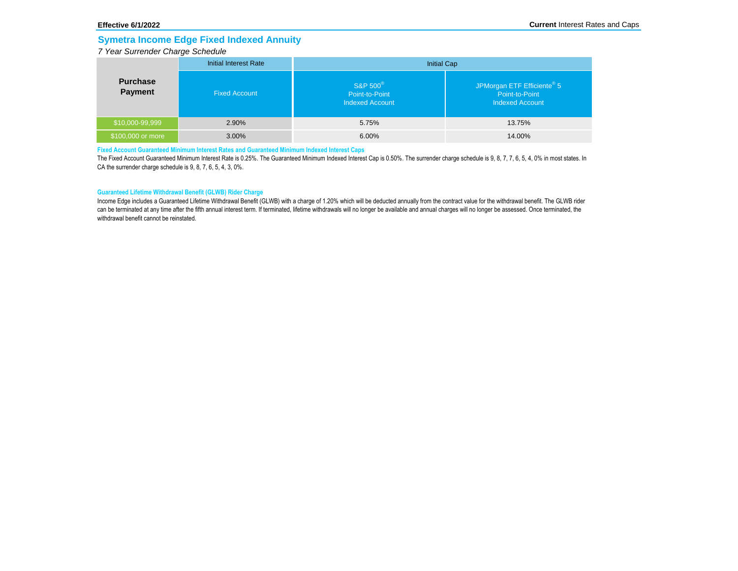## **Symetra Income Edge Fixed Indexed Annuity**

### *7 Year Surrender Charge Schedule*

|                            | <b>Initial Interest Rate</b> | <b>Initial Cap</b>                                               |                                                                                    |  |
|----------------------------|------------------------------|------------------------------------------------------------------|------------------------------------------------------------------------------------|--|
| <b>Purchase</b><br>Payment | <b>Fixed Account</b>         | S&P 500 <sup>®</sup><br>Point-to-Point<br><b>Indexed Account</b> | JPMorgan ETF Efficiente <sup>®</sup> 5<br>Point-to-Point<br><b>Indexed Account</b> |  |
| \$10,000-99,999            | 2.90%                        | 5.75%                                                            | 13.75%                                                                             |  |
| \$100,000 or more          | 3.00%                        | $6.00\%$                                                         | 14.00%                                                                             |  |

### **Fixed Account Guaranteed Minimum Interest Rates and Guaranteed Minimum Indexed Interest Caps**

The Fixed Account Guaranteed Minimum Interest Rate is 0.25%. The Guaranteed Minimum Indexed Interest Cap is 0.50%. The surrender charge schedule is 9, 8, 7, 7, 6, 5, 4, 0% in most states. In CA the surrender charge schedule is 9, 8, 7, 6, 5, 4, 3, 0%.

### **Guaranteed Lifetime Withdrawal Benefit (GLWB) Rider Charge**

Income Edge includes a Guaranteed Lifetime Withdrawal Benefit (GLWB) with a charge of 1.20% which will be deducted annually from the contract value for the withdrawal benefit. The GLWB rider can be terminated at any time after the fifth annual interest term. If terminated, lifetime withdrawals will no longer be available and annual charges will no longer be assessed. Once terminated, the withdrawal benefit cannot be reinstated.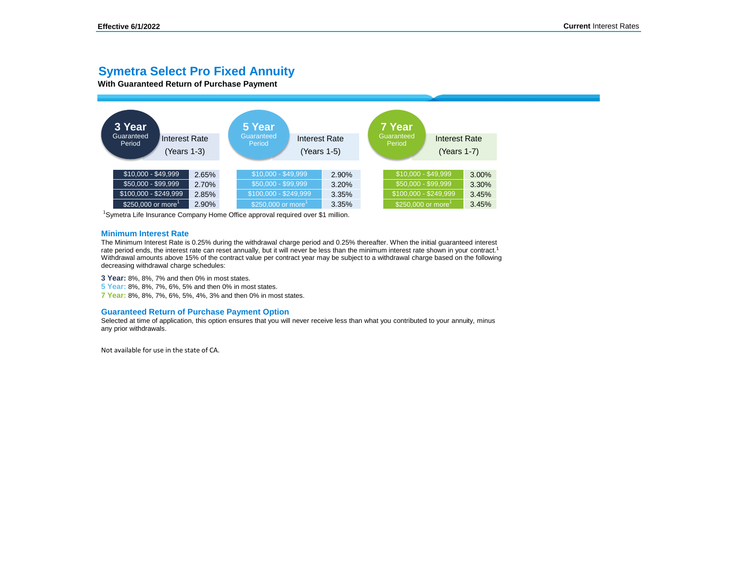## **Symetra Select Pro Fixed Annuity**

**With Guaranteed Return of Purchase Payment**



<sup>1</sup>Symetra Life Insurance Company Home Office approval required over \$1 million.

#### **Minimum Interest Rate**

The Minimum Interest Rate is 0.25% during the withdrawal charge period and 0.25% thereafter. When the initial guaranteed interest rate period ends, the interest rate can reset annually, but it will never be less than the minimum interest rate shown in your contract.<sup>1</sup> Withdrawal amounts above 15% of the contract value per contract year may be subject to a withdrawal charge based on the following decreasing withdrawal charge schedules:

**3 Year:** 8%, 8%, 7% and then 0% in most states.

**5 Year:** 8%, 8%, 7%, 6%, 5% and then 0% in most states.

**7 Year:** 8%, 8%, 7%, 6%, 5%, 4%, 3% and then 0% in most states.

#### **Guaranteed Return of Purchase Payment Option**

Selected at time of application, this option ensures that you will never receive less than what you contributed to your annuity, minus any prior withdrawals.

Not available for use in the state of CA.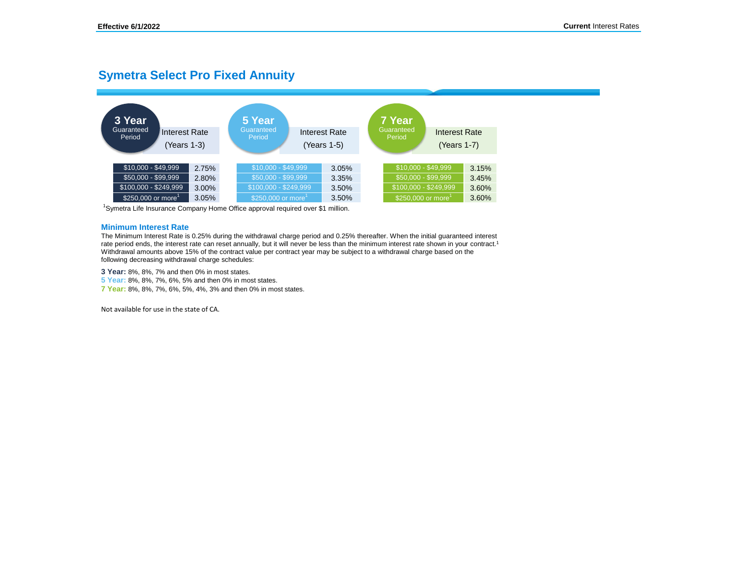# **Symetra Select Pro Fixed Annuity**



<sup>1</sup>Symetra Life Insurance Company Home Office approval required over \$1 million.

### **Minimum Interest Rate**

The Minimum Interest Rate is 0.25% during the withdrawal charge period and 0.25% thereafter. When the initial guaranteed interest rate period ends, the interest rate can reset annually, but it will never be less than the minimum interest rate shown in your contract.<sup>1</sup> Withdrawal amounts above 15% of the contract value per contract year may be subject to a withdrawal charge based on the following decreasing withdrawal charge schedules:

**3 Year:** 8%, 8%, 7% and then 0% in most states.

**5 Year:** 8%, 8%, 7%, 6%, 5% and then 0% in most states.

**7 Year:** 8%, 8%, 7%, 6%, 5%, 4%, 3% and then 0% in most states.

Not available for use in the state of CA.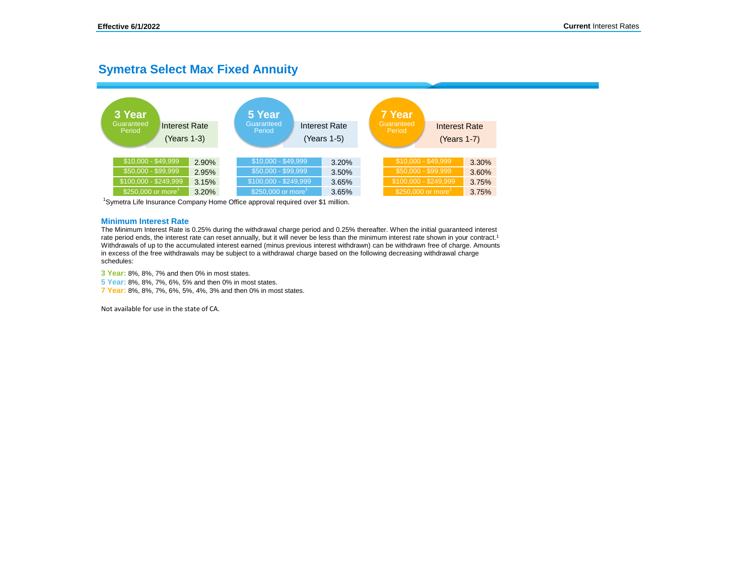## **Symetra Select Max Fixed Annuity**



<sup>1</sup>Symetra Life Insurance Company Home Office approval required over \$1 million.

#### **Minimum Interest Rate**

The Minimum Interest Rate is 0.25% during the withdrawal charge period and 0.25% thereafter. When the initial guaranteed interest rate period ends, the interest rate can reset annually, but it will never be less than the minimum interest rate shown in your contract.<sup>1</sup> Withdrawals of up to the accumulated interest earned (minus previous interest withdrawn) can be withdrawn free of charge. Amounts in excess of the free withdrawals may be subject to a withdrawal charge based on the following decreasing withdrawal charge schedules:

**3 Year:** 8%, 8%, 7% and then 0% in most states.

**5 Year:** 8%, 8%, 7%, 6%, 5% and then 0% in most states.

**7 Year:** 8%, 8%, 7%, 6%, 5%, 4%, 3% and then 0% in most states.

Not available for use in the state of CA.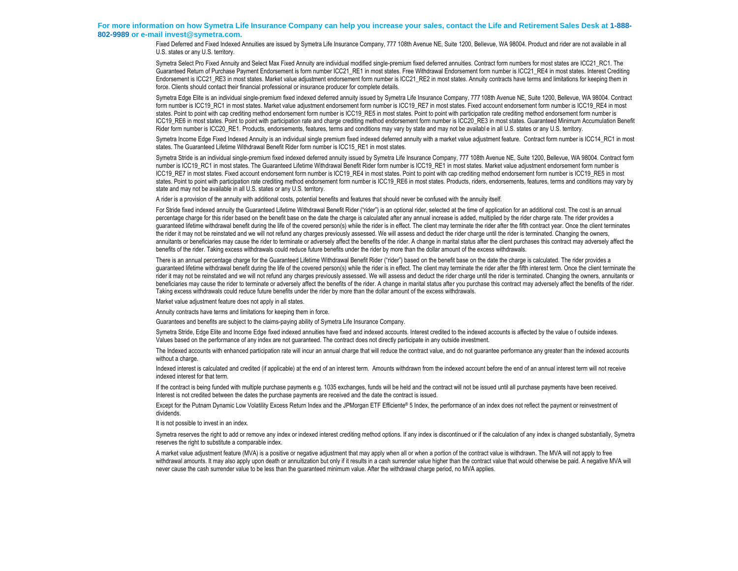#### **For more information on how Symetra Life Insurance Company can help you increase your sales, contact the Life and Retirement Sales Desk at 1-888- 802-9989 or e-mail invest@symetra.com.**

Fixed Deferred and Fixed Indexed Annuities are issued by Symetra Life Insurance Company, 777 108th Avenue NE, Suite 1200, Bellevue, WA 98004. Product and rider are not available in all U.S. states or any U.S. territory.

Symetra Select Pro Fixed Annuity and Select Max Fixed Annuity are individual modified single-premium fixed deferred annuities. Contract form numbers for most states are ICC21\_RC1. The Guaranteed Return of Purchase Payment Endorsement is form number ICC21\_RE1 in most states. Free Withdrawal Endorsement form number is ICC21\_RE4 in most states. Interest Crediting Endorsement is ICC21 RE3 in most states. Market value adjustment endorsement form number is ICC21 RE2 in most states. Annuity contracts have terms and limitations for keeping them in force. Clients should contact their financial professional or insurance producer for complete details.

Symetra Edge Elite is an individual single-premium fixed indexed deferred annuity issued by Symetra Life Insurance Company, 777 108th Avenue NE, Suite 1200, Bellevue, WA 98004. Contract form number is ICC19\_RC1 in most states. Market value adjustment endorsement form number is ICC19\_RE7 in most states. Fixed account endorsement form number is ICC19\_RE4 in most states. Point to point with cap crediting method endorsement form number is ICC19\_RE5 in most states. Point to point with participation rate crediting method endorsement form number is ICC19\_RE6 in most states. Point to point with participation rate and charge crediting method endorsement form number is ICC20\_RE3 in most states. Guaranteed Minimum Accumulation Benefit Rider form number is ICC20\_RE1. Products, endorsements, features, terms and conditions may vary by state and may not be available in all U.S. states or any U.S. territory.

Symetra Income Edge Fixed Indexed Annuity is an individual single premium fixed indexed deferred annuity with a market value adjustment feature. Contract form number is ICC14, RC1 in most states. The Guaranteed Lifetime Withdrawal Benefit Rider form number is ICC15\_RE1 in most states.

Symetra Stride is an individual single-premium fixed indexed deferred annuity issued by Symetra Life Insurance Company, 777 108th Avenue NE, Suite 1200, Bellevue, WA 98004. Contract form number is ICC19\_RC1 in most states. The Guaranteed Lifetime Withdrawal Benefit Rider form number is ICC19\_RE1 in most states. Market value adjustment endorsement form number is ICC19 RE7 in most states. Fixed account endorsement form number is ICC19 RE4 in most states. Point to point with cap crediting method endorsement form number is ICC19 RE5 in most states. Point to point with participation rate crediting method endorsement form number is ICC19\_RE6 in most states. Products, riders, endorsements, features, terms and conditions may vary by state and may not be available in all U.S. states or any U.S. territory.

A rider is a provision of the annuity with additional costs, potential benefits and features that should never be confused with the annuity itself.

For Stride fixed indexed annuity the Guaranteed Lifetime Withdrawal Benefit Rider ("rider") is an optional rider, selected at the time of application for an additional cost. The cost is an annual percentage charge for this rider based on the benefit base on the date the charge is calculated after any annual increase is added, multiplied by the rider charge rate. The rider provides a guaranteed lifetime withdrawal benefit during the life of the covered person(s) while the rider is in effect. The client may terminate the rider after the fifth contract year. Once the client terminates the rider it may not be reinstated and we will not refund any charges previously assessed. We will assess and deduct the rider charge until the rider is terminated. Changing the owners, annuitants or beneficiaries may cause the rider to terminate or adversely affect the benefits of the rider. A change in marital status after the client purchases this contract may adversely affect the benefits of the rider. Taking excess withdrawals could reduce future benefits under the rider by more than the dollar amount of the excess withdrawals.

There is an annual percentage charge for the Guaranteed Lifetime Withdrawal Benefit Rider ("rider") based on the benefit base on the date the charge is calculated. The rider provides a guaranteed lifetime withdrawal benefit during the life of the covered person(s) while the rider is in effect. The client may terminate the rider after the fifth interest term. Once the client terminate the rider it may not be reinstated and we will not refund any charges previously assessed. We will assess and deduct the rider charge until the rider is terminated. Changing the owners, annuitants or beneficiaries may cause the rider to terminate or adversely affect the benefits of the rider. A change in marital status after you purchase this contract may adversely affect the benefits of the rider. Taking excess withdrawals could reduce future benefits under the rider by more than the dollar amount of the excess withdrawals.

Market value adjustment feature does not apply in all states.

Annuity contracts have terms and limitations for keeping them in force.

Guarantees and benefits are subject to the claims-paying ability of Symetra Life Insurance Company.

Symetra Stride, Edge Elite and Income Edge fixed indexed annuities have fixed and indexed accounts. Interest credited to the indexed accounts is affected by the value o f outside indexes. Values based on the performance of any index are not guaranteed. The contract does not directly participate in any outside investment.

The Indexed accounts with enhanced participation rate will incur an annual charge that will reduce the contract value, and do not guarantee performance any greater than the indexed accounts without a charge.

Indexed interest is calculated and credited (if applicable) at the end of an interest term. Amounts withdrawn from the indexed account before the end of an annual interest term will not receive indexed interest for that term.

If the contract is being funded with multiple purchase payments e.g. 1035 exchanges, funds will be held and the contract will not be issued until all purchase payments have been received. Interest is not credited between the dates the purchase payments are received and the date the contract is issued.

Except for the Putnam Dynamic Low Volatility Excess Return Index and the JPMorgan ETF Efficiente® 5 Index, the performance of an index does not reflect the payment or reinvestment of dividends.

It is not possible to invest in an index.

Symetra reserves the right to add or remove any index or indexed interest crediting method options. If any index is discontinued or if the calculation of any index is changed substantially, Symetra reserves the right to substitute a comparable index.

A market value adjustment feature (MVA) is a positive or negative adjustment that may apply when all or when a portion of the contract value is withdrawn. The MVA will not apply to free withdrawal amounts. It may also apply upon death or annuitization but only if it results in a cash surrender value higher than the contract value that would otherwise be paid. A negative MVA will never cause the cash surrender value to be less than the guaranteed minimum value. After the withdrawal charge period, no MVA applies.